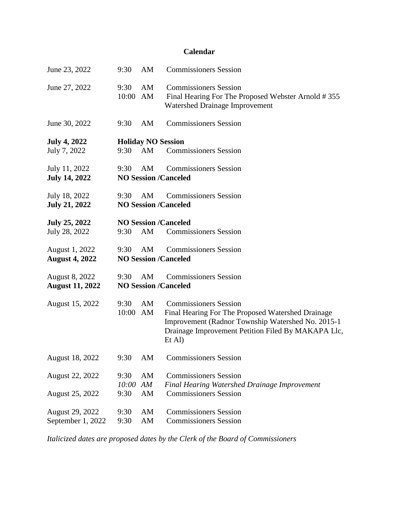## **Calendar**

| June 23, 2022                            | 9:30                  | AM                              | <b>Commissioners Session</b>                                                                                                                                                                             |
|------------------------------------------|-----------------------|---------------------------------|----------------------------------------------------------------------------------------------------------------------------------------------------------------------------------------------------------|
| June 27, 2022                            | 9:30<br>10:00 AM      | AM                              | <b>Commissioners Session</b><br>Final Hearing For The Proposed Webster Arnold #355<br><b>Watershed Drainage Improvement</b>                                                                              |
| June 30, 2022                            | 9:30                  | AM                              | <b>Commissioners Session</b>                                                                                                                                                                             |
| <b>July 4, 2022</b><br>July 7, 2022      | 9:30                  | <b>Holiday NO Session</b><br>AM | <b>Commissioners Session</b>                                                                                                                                                                             |
| July 11, 2022<br><b>July 14, 2022</b>    | 9:30                  | AM                              | <b>Commissioners Session</b><br><b>NO Session /Canceled</b>                                                                                                                                              |
| July 18, 2022<br><b>July 21, 2022</b>    | 9:30                  | AM                              | <b>Commissioners Session</b><br><b>NO Session /Canceled</b>                                                                                                                                              |
| <b>July 25, 2022</b><br>July 28, 2022    | 9:30                  | AM                              | <b>NO Session /Canceled</b><br><b>Commissioners Session</b>                                                                                                                                              |
| August 1, 2022<br><b>August 4, 2022</b>  | 9:30                  | AM                              | <b>Commissioners Session</b><br><b>NO Session /Canceled</b>                                                                                                                                              |
| August 8, 2022<br><b>August 11, 2022</b> | 9:30                  | AM                              | <b>Commissioners Session</b><br><b>NO Session /Canceled</b>                                                                                                                                              |
| August 15, 2022                          | 9:30<br>10:00 AM      | AM                              | <b>Commissioners Session</b><br>Final Hearing For The Proposed Watershed Drainage<br>Improvement (Radnor Township Watershed No. 2015-1<br>Drainage Improvement Petition Filed By MAKAPA Llc,<br>$Et$ Al) |
| August 18, 2022                          |                       |                                 | 9:30 AM Commissioners Session                                                                                                                                                                            |
| August 22, 2022<br>August 25, 2022       | 9:30<br>10:00<br>9:30 | AM<br>AM<br>AM                  | <b>Commissioners Session</b><br><b>Final Hearing Watershed Drainage Improvement</b><br><b>Commissioners Session</b>                                                                                      |
| August 29, 2022<br>September 1, 2022     | 9:30<br>9:30          | AM<br>AM                        | <b>Commissioners Session</b><br><b>Commissioners Session</b>                                                                                                                                             |

*Italicized dates are proposed dates by the Clerk of the Board of Commissioners*